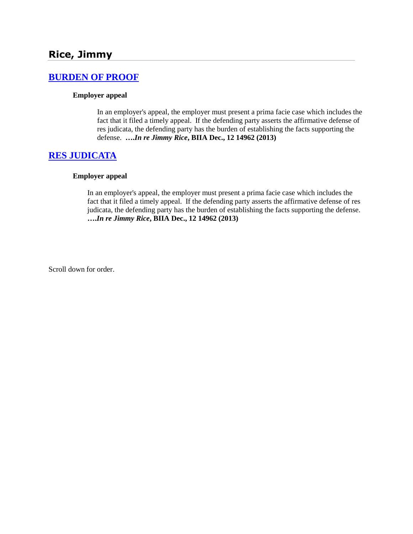# **[BURDEN OF PROOF](http://www.biia.wa.gov/SDSubjectIndex.html#BURDEN_OF_PROOF)**

#### **Employer appeal**

In an employer's appeal, the employer must present a prima facie case which includes the fact that it filed a timely appeal. If the defending party asserts the affirmative defense of res judicata, the defending party has the burden of establishing the facts supporting the defense. **….***In re Jimmy Rice***, BIIA Dec., 12 14962 (2013)**

### **[RES JUDICATA](http://www.biia.wa.gov/SDSubjectIndex.html#RES_JUDICATA)**

#### **Employer appeal**

In an employer's appeal, the employer must present a prima facie case which includes the fact that it filed a timely appeal. If the defending party asserts the affirmative defense of res judicata, the defending party has the burden of establishing the facts supporting the defense. **….***In re Jimmy Rice***, BIIA Dec., 12 14962 (2013)**

Scroll down for order.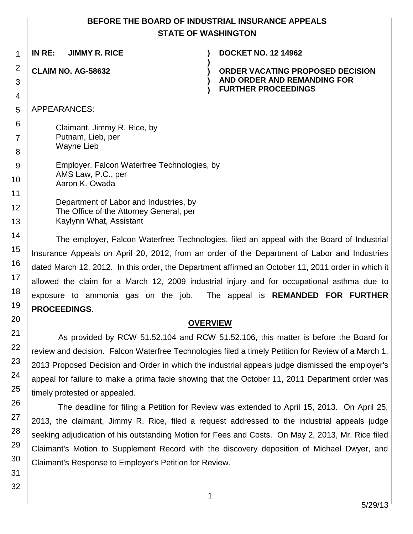## **BEFORE THE BOARD OF INDUSTRIAL INSURANCE APPEALS STATE OF WASHINGTON**

**)**

**) )**

**IN RE: JIMMY R. RICE ) DOCKET NO. 12 14962**

**CLAIM NO. AG-58632 )**

1

2

3

4

5 6

7

8

14

15

16

17

18

**ORDER VACATING PROPOSED DECISION AND ORDER AND REMANDING FOR FURTHER PROCEEDINGS**

APPEARANCES:

Claimant, Jimmy R. Rice, by Putnam, Lieb, per Wayne Lieb

9 10 Employer, Falcon Waterfree Technologies, by AMS Law, P.C., per Aaron K. Owada

11 12 13 Department of Labor and Industries, by The Office of the Attorney General, per Kaylynn What, Assistant

The employer, Falcon Waterfree Technologies, filed an appeal with the Board of Industrial Insurance Appeals on April 20, 2012, from an order of the Department of Labor and Industries dated March 12, 2012. In this order, the Department affirmed an October 11, 2011 order in which it allowed the claim for a March 12, 2009 industrial injury and for occupational asthma due to exposure to ammonia gas on the job. The appeal is **REMANDED FOR FURTHER PROCEEDINGS**.

## **OVERVIEW**

As provided by RCW 51.52.104 and RCW 51.52.106, this matter is before the Board for review and decision. Falcon Waterfree Technologies filed a timely Petition for Review of a March 1, 2013 Proposed Decision and Order in which the industrial appeals judge dismissed the employer's appeal for failure to make a prima facie showing that the October 11, 2011 Department order was timely protested or appealed.

The deadline for filing a Petition for Review was extended to April 15, 2013. On April 25, 2013, the claimant, Jimmy R. Rice, filed a request addressed to the industrial appeals judge seeking adjudication of his outstanding Motion for Fees and Costs. On May 2, 2013, Mr. Rice filed Claimant's Motion to Supplement Record with the discovery deposition of Michael Dwyer, and Claimant's Response to Employer's Petition for Review.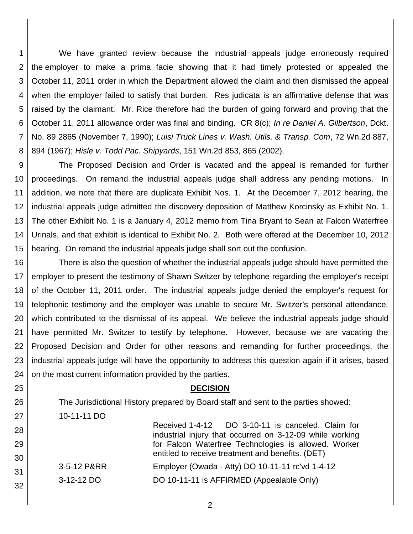1 2 3 4 5 6 7 8 We have granted review because the industrial appeals judge erroneously required the employer to make a prima facie showing that it had timely protested or appealed the October 11, 2011 order in which the Department allowed the claim and then dismissed the appeal when the employer failed to satisfy that burden. Res judicata is an affirmative defense that was raised by the claimant. Mr. Rice therefore had the burden of going forward and proving that the October 11, 2011 allowance order was final and binding. CR 8(c); *In re Daniel A. Gilbertson*, Dckt. No. 89 2865 (November 7, 1990); *Luisi Truck Lines v. Wash. Utils. & Transp. Com*, 72 Wn.2d 887, 894 (1967); *Hisle v. Todd Pac. Shipyards*, 151 Wn.2d 853, 865 (2002).

9 10 11 12 13 14 15 The Proposed Decision and Order is vacated and the appeal is remanded for further proceedings. On remand the industrial appeals judge shall address any pending motions. In addition, we note that there are duplicate Exhibit Nos. 1. At the December 7, 2012 hearing, the industrial appeals judge admitted the discovery deposition of Matthew Korcinsky as Exhibit No. 1. The other Exhibit No. 1 is a January 4, 2012 memo from Tina Bryant to Sean at Falcon Waterfree Urinals, and that exhibit is identical to Exhibit No. 2. Both were offered at the December 10, 2012 hearing. On remand the industrial appeals judge shall sort out the confusion.

16 17 18 19 20 21 22 23 24 There is also the question of whether the industrial appeals judge should have permitted the employer to present the testimony of Shawn Switzer by telephone regarding the employer's receipt of the October 11, 2011 order. The industrial appeals judge denied the employer's request for telephonic testimony and the employer was unable to secure Mr. Switzer's personal attendance, which contributed to the dismissal of its appeal. We believe the industrial appeals judge should have permitted Mr. Switzer to testify by telephone. However, because we are vacating the Proposed Decision and Order for other reasons and remanding for further proceedings, the industrial appeals judge will have the opportunity to address this question again if it arises, based on the most current information provided by the parties.

### **DECISION**

Received 1-4-12 DO 3-10-11 is canceled. Claim for industrial injury that occurred on 3-12-09 while working for Falcon Waterfree Technologies is allowed. Worker

entitled to receive treatment and benefits. (DET)

The Jurisdictional History prepared by Board staff and sent to the parties showed: 10-11-11 DO

32

25

26

31 3-5-12 P&RR Employer (Owada - Atty) DO 10-11-11 rc'vd 1-4-12 3-12-12 DO **DO 10-11-11** is AFFIRMED (Appealable Only)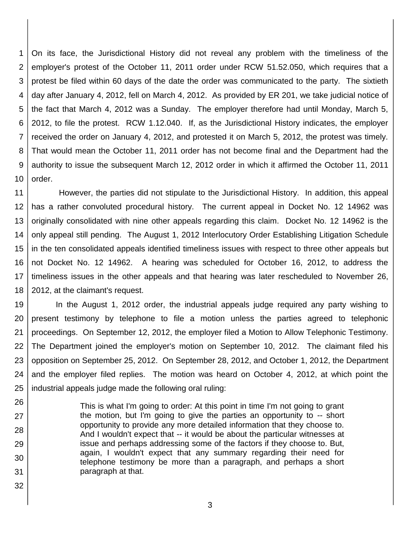1 2 3 4 5 6 7 8 9 10 On its face, the Jurisdictional History did not reveal any problem with the timeliness of the employer's protest of the October 11, 2011 order under RCW 51.52.050, which requires that a protest be filed within 60 days of the date the order was communicated to the party. The sixtieth day after January 4, 2012, fell on March 4, 2012. As provided by ER 201, we take judicial notice of the fact that March 4, 2012 was a Sunday. The employer therefore had until Monday, March 5, 2012, to file the protest. RCW 1.12.040. If, as the Jurisdictional History indicates, the employer received the order on January 4, 2012, and protested it on March 5, 2012, the protest was timely. That would mean the October 11, 2011 order has not become final and the Department had the authority to issue the subsequent March 12, 2012 order in which it affirmed the October 11, 2011 order.

11 12 13 14 15 16 17 18 However, the parties did not stipulate to the Jurisdictional History. In addition, this appeal has a rather convoluted procedural history. The current appeal in Docket No. 12 14962 was originally consolidated with nine other appeals regarding this claim. Docket No. 12 14962 is the only appeal still pending. The August 1, 2012 Interlocutory Order Establishing Litigation Schedule in the ten consolidated appeals identified timeliness issues with respect to three other appeals but not Docket No. 12 14962. A hearing was scheduled for October 16, 2012, to address the timeliness issues in the other appeals and that hearing was later rescheduled to November 26, 2012, at the claimant's request.

19 20 21 22 23 24 25 In the August 1, 2012 order, the industrial appeals judge required any party wishing to present testimony by telephone to file a motion unless the parties agreed to telephonic proceedings. On September 12, 2012, the employer filed a Motion to Allow Telephonic Testimony. The Department joined the employer's motion on September 10, 2012. The claimant filed his opposition on September 25, 2012. On September 28, 2012, and October 1, 2012, the Department and the employer filed replies. The motion was heard on October 4, 2012, at which point the industrial appeals judge made the following oral ruling:

26 27 28 29 30 31 This is what I'm going to order: At this point in time I'm not going to grant the motion, but I'm going to give the parties an opportunity to -- short opportunity to provide any more detailed information that they choose to. And I wouldn't expect that -- it would be about the particular witnesses at issue and perhaps addressing some of the factors if they choose to. But, again, I wouldn't expect that any summary regarding their need for telephone testimony be more than a paragraph, and perhaps a short paragraph at that.

32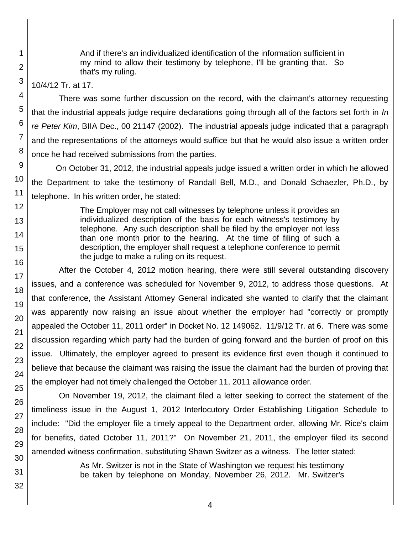And if there's an individualized identification of the information sufficient in my mind to allow their testimony by telephone, I'll be granting that. So that's my ruling.

10/4/12 Tr. at 17.

There was some further discussion on the record, with the claimant's attorney requesting that the industrial appeals judge require declarations going through all of the factors set forth in *In re Peter Kim*, BIIA Dec., 00 21147 (2002). The industrial appeals judge indicated that a paragraph and the representations of the attorneys would suffice but that he would also issue a written order once he had received submissions from the parties.

On October 31, 2012, the industrial appeals judge issued a written order in which he allowed the Department to take the testimony of Randall Bell, M.D., and Donald Schaezler, Ph.D., by telephone. In his written order, he stated:

> The Employer may not call witnesses by telephone unless it provides an individualized description of the basis for each witness's testimony by telephone. Any such description shall be filed by the employer not less than one month prior to the hearing. At the time of filing of such a description, the employer shall request a telephone conference to permit the judge to make a ruling on its request.

After the October 4, 2012 motion hearing, there were still several outstanding discovery issues, and a conference was scheduled for November 9, 2012, to address those questions. At that conference, the Assistant Attorney General indicated she wanted to clarify that the claimant was apparently now raising an issue about whether the employer had "correctly or promptly appealed the October 11, 2011 order" in Docket No. 12 149062. 11/9/12 Tr. at 6. There was some discussion regarding which party had the burden of going forward and the burden of proof on this issue. Ultimately, the employer agreed to present its evidence first even though it continued to believe that because the claimant was raising the issue the claimant had the burden of proving that the employer had not timely challenged the October 11, 2011 allowance order.

On November 19, 2012, the claimant filed a letter seeking to correct the statement of the timeliness issue in the August 1, 2012 Interlocutory Order Establishing Litigation Schedule to include: "Did the employer file a timely appeal to the Department order, allowing Mr. Rice's claim for benefits, dated October 11, 2011?" On November 21, 2011, the employer filed its second amended witness confirmation, substituting Shawn Switzer as a witness. The letter stated:

> As Mr. Switzer is not in the State of Washington we request his testimony be taken by telephone on Monday, November 26, 2012. Mr. Switzer's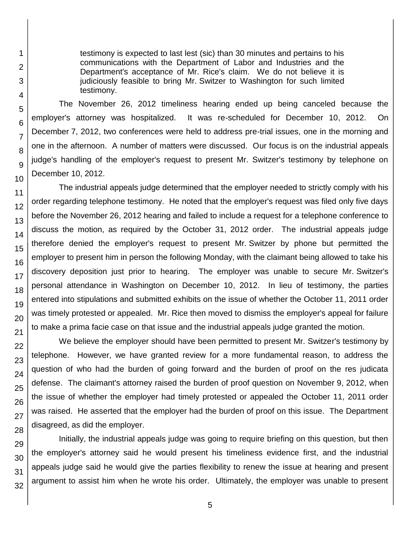testimony is expected to last lest (sic) than 30 minutes and pertains to his communications with the Department of Labor and Industries and the Department's acceptance of Mr. Rice's claim. We do not believe it is judiciously feasible to bring Mr. Switzer to Washington for such limited testimony.

The November 26, 2012 timeliness hearing ended up being canceled because the employer's attorney was hospitalized. It was re-scheduled for December 10, 2012. On December 7, 2012, two conferences were held to address pre-trial issues, one in the morning and one in the afternoon. A number of matters were discussed. Our focus is on the industrial appeals judge's handling of the employer's request to present Mr. Switzer's testimony by telephone on December 10, 2012.

The industrial appeals judge determined that the employer needed to strictly comply with his order regarding telephone testimony. He noted that the employer's request was filed only five days before the November 26, 2012 hearing and failed to include a request for a telephone conference to discuss the motion, as required by the October 31, 2012 order. The industrial appeals judge therefore denied the employer's request to present Mr. Switzer by phone but permitted the employer to present him in person the following Monday, with the claimant being allowed to take his discovery deposition just prior to hearing. The employer was unable to secure Mr. Switzer's personal attendance in Washington on December 10, 2012. In lieu of testimony, the parties entered into stipulations and submitted exhibits on the issue of whether the October 11, 2011 order was timely protested or appealed. Mr. Rice then moved to dismiss the employer's appeal for failure to make a prima facie case on that issue and the industrial appeals judge granted the motion.

We believe the employer should have been permitted to present Mr. Switzer's testimony by telephone. However, we have granted review for a more fundamental reason, to address the question of who had the burden of going forward and the burden of proof on the res judicata defense. The claimant's attorney raised the burden of proof question on November 9, 2012, when the issue of whether the employer had timely protested or appealed the October 11, 2011 order was raised. He asserted that the employer had the burden of proof on this issue. The Department disagreed, as did the employer.

Initially, the industrial appeals judge was going to require briefing on this question, but then the employer's attorney said he would present his timeliness evidence first, and the industrial appeals judge said he would give the parties flexibility to renew the issue at hearing and present argument to assist him when he wrote his order. Ultimately, the employer was unable to present

1

2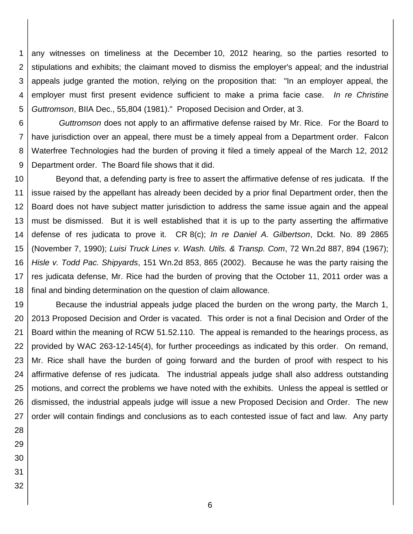1 2 3 4 5 any witnesses on timeliness at the December 10, 2012 hearing, so the parties resorted to stipulations and exhibits; the claimant moved to dismiss the employer's appeal; and the industrial appeals judge granted the motion, relying on the proposition that: "In an employer appeal, the employer must first present evidence sufficient to make a prima facie case. *In re Christine Guttromson*, BIIA Dec., 55,804 (1981)." Proposed Decision and Order, at 3.

6 7 8 9 *Guttromson* does not apply to an affirmative defense raised by Mr. Rice. For the Board to have jurisdiction over an appeal, there must be a timely appeal from a Department order. Falcon Waterfree Technologies had the burden of proving it filed a timely appeal of the March 12, 2012 Department order. The Board file shows that it did.

10 11 12 13 14 15 16 17 18 Beyond that, a defending party is free to assert the affirmative defense of res judicata. If the issue raised by the appellant has already been decided by a prior final Department order, then the Board does not have subject matter jurisdiction to address the same issue again and the appeal must be dismissed. But it is well established that it is up to the party asserting the affirmative defense of res judicata to prove it. CR 8(c); *In re Daniel A. Gilbertson*, Dckt. No. 89 2865 (November 7, 1990); *Luisi Truck Lines v. Wash. Utils. & Transp. Com*, 72 Wn.2d 887, 894 (1967); *Hisle v. Todd Pac. Shipyards*, 151 Wn.2d 853, 865 (2002). Because he was the party raising the res judicata defense, Mr. Rice had the burden of proving that the October 11, 2011 order was a final and binding determination on the question of claim allowance.

19 20 21 22 23 24 25 26 27 Because the industrial appeals judge placed the burden on the wrong party, the March 1, 2013 Proposed Decision and Order is vacated. This order is not a final Decision and Order of the Board within the meaning of RCW 51.52.110. The appeal is remanded to the hearings process, as provided by WAC 263-12-145(4), for further proceedings as indicated by this order. On remand, Mr. Rice shall have the burden of going forward and the burden of proof with respect to his affirmative defense of res judicata. The industrial appeals judge shall also address outstanding motions, and correct the problems we have noted with the exhibits. Unless the appeal is settled or dismissed, the industrial appeals judge will issue a new Proposed Decision and Order. The new order will contain findings and conclusions as to each contested issue of fact and law. Any party

- 28 29 30
- 31